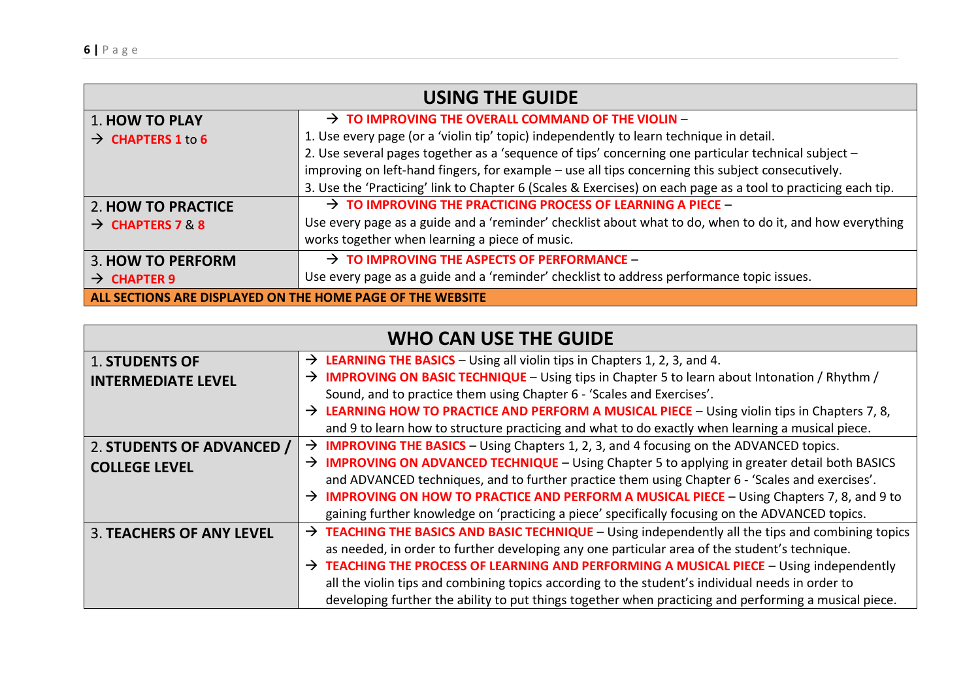| <b>USING THE GUIDE</b>                                     |                                                                                                               |  |
|------------------------------------------------------------|---------------------------------------------------------------------------------------------------------------|--|
| <b>1. HOW TO PLAY</b>                                      | $\rightarrow$ TO IMPROVING THE OVERALL COMMAND OF THE VIOLIN -                                                |  |
| $\rightarrow$ CHAPTERS 1 to 6                              | 1. Use every page (or a 'violin tip' topic) independently to learn technique in detail.                       |  |
|                                                            | 2. Use several pages together as a 'sequence of tips' concerning one particular technical subject -           |  |
|                                                            | improving on left-hand fingers, for example - use all tips concerning this subject consecutively.             |  |
|                                                            | 3. Use the 'Practicing' link to Chapter 6 (Scales & Exercises) on each page as a tool to practicing each tip. |  |
| 2. HOW TO PRACTICE                                         | $\rightarrow$ TO IMPROVING THE PRACTICING PROCESS OF LEARNING A PIECE -                                       |  |
| $\rightarrow$ CHAPTERS 7 & 8                               | Use every page as a guide and a 'reminder' checklist about what to do, when to do it, and how everything      |  |
|                                                            | works together when learning a piece of music.                                                                |  |
| <b>3. HOW TO PERFORM</b>                                   | $\rightarrow$ TO IMPROVING THE ASPECTS OF PERFORMANCE -                                                       |  |
| $\rightarrow$ CHAPTER 9                                    | Use every page as a guide and a 'reminder' checklist to address performance topic issues.                     |  |
| ALL SECTIONS ARE DISPLAYED ON THE HOME PAGE OF THE WEBSITE |                                                                                                               |  |

| <b>WHO CAN USE THE GUIDE</b>    |                                                                                                               |  |
|---------------------------------|---------------------------------------------------------------------------------------------------------------|--|
| <b>1. STUDENTS OF</b>           | $\rightarrow$ LEARNING THE BASICS – Using all violin tips in Chapters 1, 2, 3, and 4.                         |  |
| <b>INTERMEDIATE LEVEL</b>       | $\rightarrow$ IMPROVING ON BASIC TECHNIQUE - Using tips in Chapter 5 to learn about Intonation / Rhythm /     |  |
|                                 | Sound, and to practice them using Chapter 6 - 'Scales and Exercises'.                                         |  |
|                                 | $\rightarrow$ LEARNING HOW TO PRACTICE AND PERFORM A MUSICAL PIECE - Using violin tips in Chapters 7, 8,      |  |
|                                 | and 9 to learn how to structure practicing and what to do exactly when learning a musical piece.              |  |
| 2. STUDENTS OF ADVANCED /       | <b>IMPROVING THE BASICS</b> - Using Chapters 1, 2, 3, and 4 focusing on the ADVANCED topics.<br>$\rightarrow$ |  |
| <b>COLLEGE LEVEL</b>            | $\rightarrow$ IMPROVING ON ADVANCED TECHNIQUE - Using Chapter 5 to applying in greater detail both BASICS     |  |
|                                 | and ADVANCED techniques, and to further practice them using Chapter 6 - 'Scales and exercises'.               |  |
|                                 | > IMPROVING ON HOW TO PRACTICE AND PERFORM A MUSICAL PIECE - Using Chapters 7, 8, and 9 to                    |  |
|                                 | gaining further knowledge on 'practicing a piece' specifically focusing on the ADVANCED topics.               |  |
| <b>3. TEACHERS OF ANY LEVEL</b> | $\rightarrow$ TEACHING THE BASICS AND BASIC TECHNIQUE - Using independently all the tips and combining topics |  |
|                                 | as needed, in order to further developing any one particular area of the student's technique.                 |  |
|                                 | $\rightarrow$ TEACHING THE PROCESS OF LEARNING AND PERFORMING A MUSICAL PIECE - Using independently           |  |
|                                 | all the violin tips and combining topics according to the student's individual needs in order to              |  |
|                                 | developing further the ability to put things together when practicing and performing a musical piece.         |  |